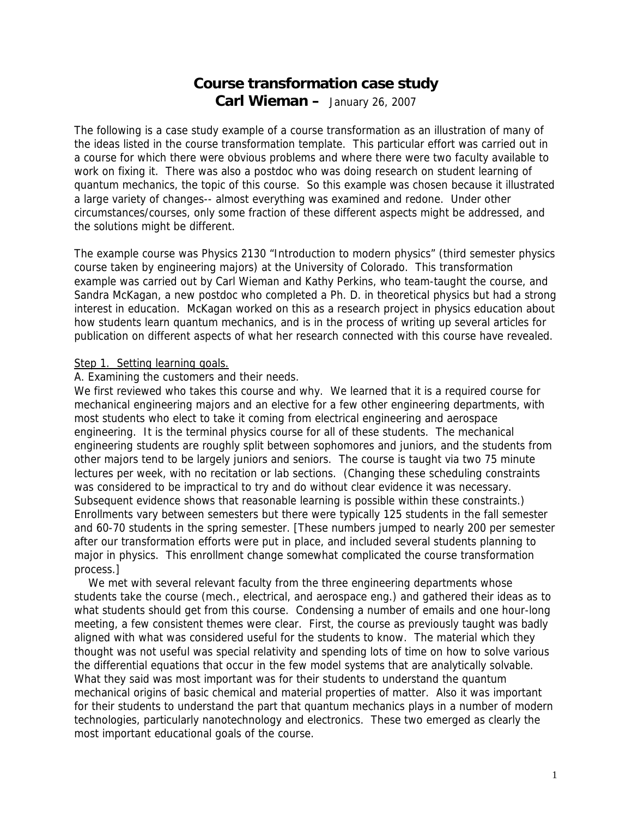# **Course transformation case study Carl Wieman –** January 26, 2007

The following is a case study example of a course transformation as an illustration of many of the ideas listed in the course transformation template. This particular effort was carried out in a course for which there were obvious problems and where there were two faculty available to work on fixing it. There was also a postdoc who was doing research on student learning of quantum mechanics, the topic of this course. So this example was chosen because it illustrated a large variety of changes-- almost everything was examined and redone. Under other circumstances/courses, only some fraction of these different aspects might be addressed, and the solutions might be different.

The example course was Physics 2130 "Introduction to modern physics" (third semester physics course taken by engineering majors) at the University of Colorado. This transformation example was carried out by Carl Wieman and Kathy Perkins, who team-taught the course, and Sandra McKagan, a new postdoc who completed a Ph. D. in theoretical physics but had a strong interest in education. McKagan worked on this as a research project in physics education about how students learn quantum mechanics, and is in the process of writing up several articles for publication on different aspects of what her research connected with this course have revealed.

# Step 1. Setting learning goals.

# A. Examining the customers and their needs.

We first reviewed who takes this course and why. We learned that it is a required course for mechanical engineering majors and an elective for a few other engineering departments, with most students who elect to take it coming from electrical engineering and aerospace engineering. It is the terminal physics course for all of these students. The mechanical engineering students are roughly split between sophomores and juniors, and the students from other majors tend to be largely juniors and seniors. The course is taught via two 75 minute lectures per week, with no recitation or lab sections. (Changing these scheduling constraints was considered to be impractical to try and do without clear evidence it was necessary. Subsequent evidence shows that reasonable learning is possible within these constraints.) Enrollments vary between semesters but there were typically 125 students in the fall semester and 60-70 students in the spring semester. [These numbers jumped to nearly 200 per semester after our transformation efforts were put in place, and included several students planning to major in physics. This enrollment change somewhat complicated the course transformation process.]

We met with several relevant faculty from the three engineering departments whose students take the course (mech., electrical, and aerospace eng.) and gathered their ideas as to what students should get from this course. Condensing a number of emails and one hour-long meeting, a few consistent themes were clear. First, the course as previously taught was badly aligned with what was considered useful for the students to know. The material which they thought was not useful was special relativity and spending lots of time on how to solve various the differential equations that occur in the few model systems that are analytically solvable. What they said was most important was for their students to understand the quantum mechanical origins of basic chemical and material properties of matter. Also it was important for their students to understand the part that quantum mechanics plays in a number of modern technologies, particularly nanotechnology and electronics. These two emerged as clearly the most important educational goals of the course.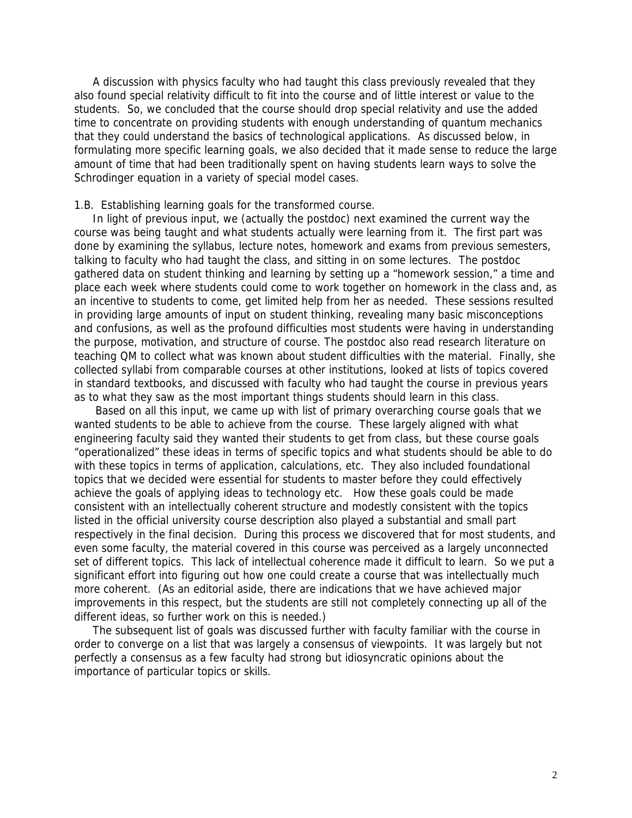A discussion with physics faculty who had taught this class previously revealed that they also found special relativity difficult to fit into the course and of little interest or value to the students. So, we concluded that the course should drop special relativity and use the added time to concentrate on providing students with enough understanding of quantum mechanics that they could understand the basics of technological applications. As discussed below, in formulating more specific learning goals, we also decided that it made sense to reduce the large amount of time that had been traditionally spent on having students learn ways to solve the Schrodinger equation in a variety of special model cases.

### 1.B. Establishing learning goals for the transformed course.

 In light of previous input, we (actually the postdoc) next examined the current way the course was being taught and what students actually were learning from it. The first part was done by examining the syllabus, lecture notes, homework and exams from previous semesters, talking to faculty who had taught the class, and sitting in on some lectures. The postdoc gathered data on student thinking and learning by setting up a "homework session," a time and place each week where students could come to work together on homework in the class and, as an incentive to students to come, get limited help from her as needed. These sessions resulted in providing large amounts of input on student thinking, revealing many basic misconceptions and confusions, as well as the profound difficulties most students were having in understanding the purpose, motivation, and structure of course. The postdoc also read research literature on teaching QM to collect what was known about student difficulties with the material. Finally, she collected syllabi from comparable courses at other institutions, looked at lists of topics covered in standard textbooks, and discussed with faculty who had taught the course in previous years as to what they saw as the most important things students should learn in this class.

 Based on all this input, we came up with list of primary overarching course goals that we wanted students to be able to achieve from the course. These largely aligned with what engineering faculty said they wanted their students to get from class, but these course goals "operationalized" these ideas in terms of specific topics and what students should be able to do with these topics in terms of application, calculations, etc. They also included foundational topics that we decided were essential for students to master before they could effectively achieve the goals of applying ideas to technology etc. How these goals could be made consistent with an intellectually coherent structure and modestly consistent with the topics listed in the official university course description also played a substantial and small part respectively in the final decision. During this process we discovered that for most students, and even some faculty, the material covered in this course was perceived as a largely unconnected set of different topics. This lack of intellectual coherence made it difficult to learn. So we put a significant effort into figuring out how one could create a course that was intellectually much more coherent. (As an editorial aside, there are indications that we have achieved major improvements in this respect, but the students are still not completely connecting up all of the different ideas, so further work on this is needed.)

 The subsequent list of goals was discussed further with faculty familiar with the course in order to converge on a list that was largely a consensus of viewpoints. It was largely but not perfectly a consensus as a few faculty had strong but idiosyncratic opinions about the importance of particular topics or skills.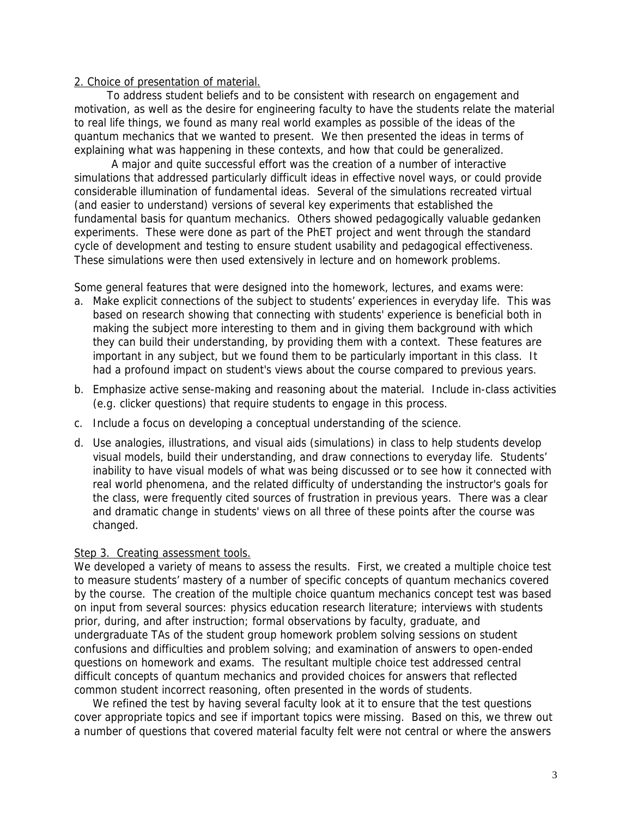# 2. Choice of presentation of material.

 To address student beliefs and to be consistent with research on engagement and motivation, as well as the desire for engineering faculty to have the students relate the material to real life things, we found as many real world examples as possible of the ideas of the quantum mechanics that we wanted to present. We then presented the ideas in terms of explaining what was happening in these contexts, and how that could be generalized.

 A major and quite successful effort was the creation of a number of interactive simulations that addressed particularly difficult ideas in effective novel ways, or could provide considerable illumination of fundamental ideas. Several of the simulations recreated virtual (and easier to understand) versions of several key experiments that established the fundamental basis for quantum mechanics. Others showed pedagogically valuable gedanken experiments. These were done as part of the PhET project and went through the standard cycle of development and testing to ensure student usability and pedagogical effectiveness. These simulations were then used extensively in lecture and on homework problems.

Some general features that were designed into the homework, lectures, and exams were:

- a. Make explicit connections of the subject to students' experiences in everyday life. This was based on research showing that connecting with students' experience is beneficial both in making the subject more interesting to them and in giving them background with which they can build their understanding, by providing them with a context. These features are important in any subject, but we found them to be particularly important in this class. It had a profound impact on student's views about the course compared to previous years.
- b. Emphasize active sense-making and reasoning about the material. Include in-class activities (e.g. clicker questions) that require students to engage in this process.
- c. Include a focus on developing a conceptual understanding of the science.
- d. Use analogies, illustrations, and visual aids (simulations) in class to help students develop visual models, build their understanding, and draw connections to everyday life. Students' inability to have visual models of what was being discussed or to see how it connected with real world phenomena, and the related difficulty of understanding the instructor's goals for the class, were frequently cited sources of frustration in previous years. There was a clear and dramatic change in students' views on all three of these points after the course was changed.

# Step 3. Creating assessment tools.

We developed a variety of means to assess the results. First, we created a multiple choice test to measure students' mastery of a number of specific concepts of quantum mechanics covered by the course. The creation of the multiple choice quantum mechanics concept test was based on input from several sources: physics education research literature; interviews with students prior, during, and after instruction; formal observations by faculty, graduate, and undergraduate TAs of the student group homework problem solving sessions on student confusions and difficulties and problem solving; and examination of answers to open-ended questions on homework and exams. The resultant multiple choice test addressed central difficult concepts of quantum mechanics and provided choices for answers that reflected common student incorrect reasoning, often presented in the words of students.

We refined the test by having several faculty look at it to ensure that the test questions cover appropriate topics and see if important topics were missing. Based on this, we threw out a number of questions that covered material faculty felt were not central or where the answers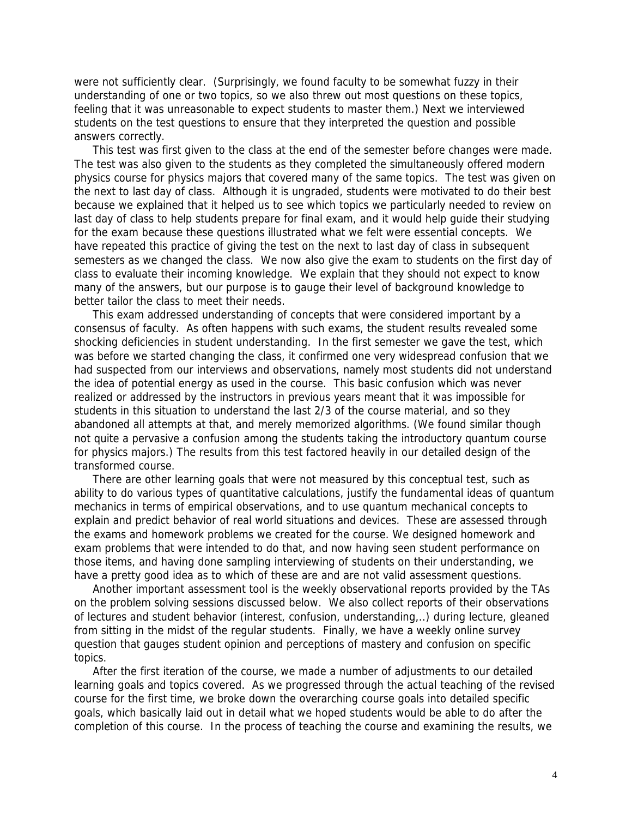were not sufficiently clear. (Surprisingly, we found faculty to be somewhat fuzzy in their understanding of one or two topics, so we also threw out most questions on these topics, feeling that it was unreasonable to expect students to master them.) Next we interviewed students on the test questions to ensure that they interpreted the question and possible answers correctly.

 This test was first given to the class at the end of the semester before changes were made. The test was also given to the students as they completed the simultaneously offered modern physics course for physics majors that covered many of the same topics. The test was given on the next to last day of class. Although it is ungraded, students were motivated to do their best because we explained that it helped us to see which topics we particularly needed to review on last day of class to help students prepare for final exam, and it would help guide their studying for the exam because these questions illustrated what we felt were essential concepts. We have repeated this practice of giving the test on the next to last day of class in subsequent semesters as we changed the class. We now also give the exam to students on the first day of class to evaluate their incoming knowledge. We explain that they should not expect to know many of the answers, but our purpose is to gauge their level of background knowledge to better tailor the class to meet their needs.

 This exam addressed understanding of concepts that were considered important by a consensus of faculty. As often happens with such exams, the student results revealed some shocking deficiencies in student understanding. In the first semester we gave the test, which was before we started changing the class, it confirmed one very widespread confusion that we had suspected from our interviews and observations, namely most students did not understand the idea of potential energy as used in the course. This basic confusion which was never realized or addressed by the instructors in previous years meant that it was impossible for students in this situation to understand the last 2/3 of the course material, and so they abandoned all attempts at that, and merely memorized algorithms. (We found similar though not quite a pervasive a confusion among the students taking the introductory quantum course for physics majors.) The results from this test factored heavily in our detailed design of the transformed course.

There are other learning goals that were not measured by this conceptual test, such as ability to do various types of quantitative calculations, justify the fundamental ideas of quantum mechanics in terms of empirical observations, and to use quantum mechanical concepts to explain and predict behavior of real world situations and devices. These are assessed through the exams and homework problems we created for the course. We designed homework and exam problems that were intended to do that, and now having seen student performance on those items, and having done sampling interviewing of students on their understanding, we have a pretty good idea as to which of these are and are not valid assessment questions.

Another important assessment tool is the weekly observational reports provided by the TAs on the problem solving sessions discussed below. We also collect reports of their observations of lectures and student behavior (interest, confusion, understanding,..) during lecture, gleaned from sitting in the midst of the regular students. Finally, we have a weekly online survey question that gauges student opinion and perceptions of mastery and confusion on specific topics.

After the first iteration of the course, we made a number of adjustments to our detailed learning goals and topics covered. As we progressed through the actual teaching of the revised course for the first time, we broke down the overarching course goals into detailed specific goals, which basically laid out in detail what we hoped students would be able to do after the completion of this course. In the process of teaching the course and examining the results, we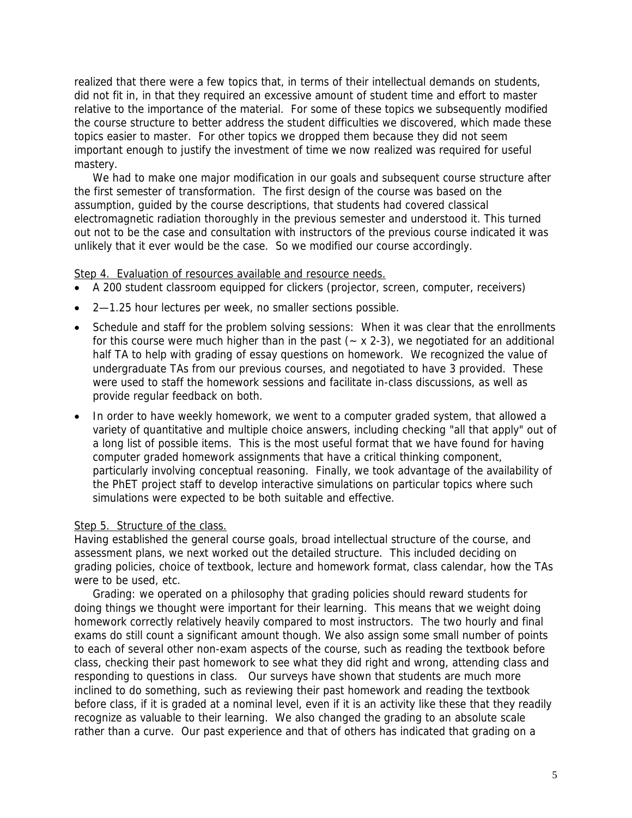realized that there were a few topics that, in terms of their intellectual demands on students, did not fit in, in that they required an excessive amount of student time and effort to master relative to the importance of the material. For some of these topics we subsequently modified the course structure to better address the student difficulties we discovered, which made these topics easier to master. For other topics we dropped them because they did not seem important enough to justify the investment of time we now realized was required for useful mastery.

We had to make one major modification in our goals and subsequent course structure after the first semester of transformation. The first design of the course was based on the assumption, guided by the course descriptions, that students had covered classical electromagnetic radiation thoroughly in the previous semester and understood it. This turned out not to be the case and consultation with instructors of the previous course indicated it was unlikely that it ever would be the case. So we modified our course accordingly.

# Step 4. Evaluation of resources available and resource needs.

- A 200 student classroom equipped for clickers (projector, screen, computer, receivers)
- 2—1.25 hour lectures per week, no smaller sections possible.
- Schedule and staff for the problem solving sessions: When it was clear that the enrollments for this course were much higher than in the past  $(-x 2-3)$ , we negotiated for an additional half TA to help with grading of essay questions on homework. We recognized the value of undergraduate TAs from our previous courses, and negotiated to have 3 provided. These were used to staff the homework sessions and facilitate in-class discussions, as well as provide regular feedback on both.
- In order to have weekly homework, we went to a computer graded system, that allowed a variety of quantitative and multiple choice answers, including checking "all that apply" out of a long list of possible items. This is the most useful format that we have found for having computer graded homework assignments that have a critical thinking component, particularly involving conceptual reasoning. Finally, we took advantage of the availability of the PhET project staff to develop interactive simulations on particular topics where such simulations were expected to be both suitable and effective.

## Step 5. Structure of the class.

Having established the general course goals, broad intellectual structure of the course, and assessment plans, we next worked out the detailed structure. This included deciding on grading policies, choice of textbook, lecture and homework format, class calendar, how the TAs were to be used, etc.

Grading: we operated on a philosophy that grading policies should reward students for doing things we thought were important for their learning. This means that we weight doing homework correctly relatively heavily compared to most instructors. The two hourly and final exams do still count a significant amount though. We also assign some small number of points to each of several other non-exam aspects of the course, such as reading the textbook before class, checking their past homework to see what they did right and wrong, attending class and responding to questions in class. Our surveys have shown that students are much more inclined to do something, such as reviewing their past homework and reading the textbook before class, if it is graded at a nominal level, even if it is an activity like these that they readily recognize as valuable to their learning. We also changed the grading to an absolute scale rather than a curve. Our past experience and that of others has indicated that grading on a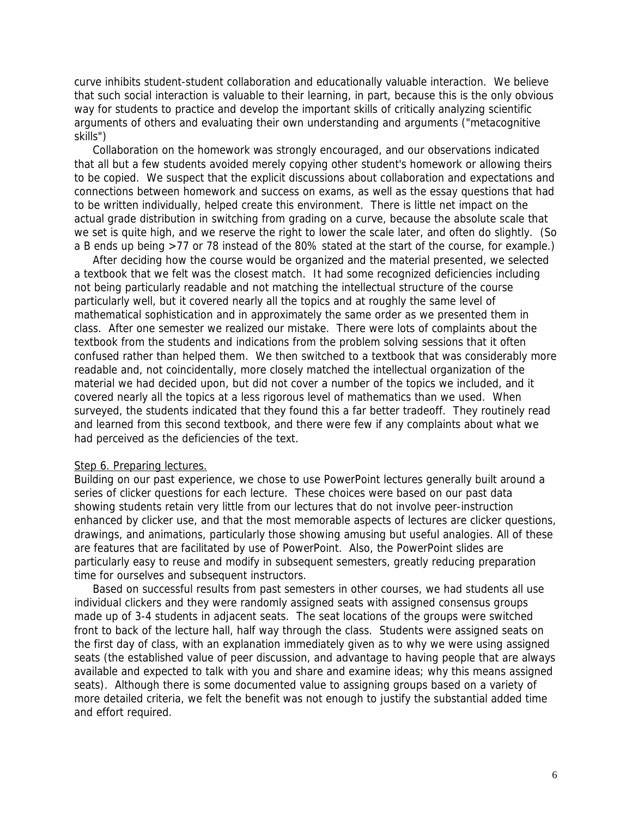curve inhibits student-student collaboration and educationally valuable interaction. We believe that such social interaction is valuable to their learning, in part, because this is the only obvious way for students to practice and develop the important skills of critically analyzing scientific arguments of others and evaluating their own understanding and arguments ("metacognitive skills")

 Collaboration on the homework was strongly encouraged, and our observations indicated that all but a few students avoided merely copying other student's homework or allowing theirs to be copied. We suspect that the explicit discussions about collaboration and expectations and connections between homework and success on exams, as well as the essay questions that had to be written individually, helped create this environment. There is little net impact on the actual grade distribution in switching from grading on a curve, because the absolute scale that we set is quite high, and we reserve the right to lower the scale later, and often do slightly. (So a B ends up being >77 or 78 instead of the 80% stated at the start of the course, for example.)

 After deciding how the course would be organized and the material presented, we selected a textbook that we felt was the closest match. It had some recognized deficiencies including not being particularly readable and not matching the intellectual structure of the course particularly well, but it covered nearly all the topics and at roughly the same level of mathematical sophistication and in approximately the same order as we presented them in class. After one semester we realized our mistake. There were lots of complaints about the textbook from the students and indications from the problem solving sessions that it often confused rather than helped them. We then switched to a textbook that was considerably more readable and, not coincidentally, more closely matched the intellectual organization of the material we had decided upon, but did not cover a number of the topics we included, and it covered nearly all the topics at a less rigorous level of mathematics than we used. When surveyed, the students indicated that they found this a far better tradeoff. They routinely read and learned from this second textbook, and there were few if any complaints about what we had perceived as the deficiencies of the text.

## Step 6. Preparing lectures.

Building on our past experience, we chose to use PowerPoint lectures generally built around a series of clicker questions for each lecture. These choices were based on our past data showing students retain very little from our lectures that do not involve peer-instruction enhanced by clicker use, and that the most memorable aspects of lectures are clicker questions, drawings, and animations, particularly those showing amusing but useful analogies. All of these are features that are facilitated by use of PowerPoint. Also, the PowerPoint slides are particularly easy to reuse and modify in subsequent semesters, greatly reducing preparation time for ourselves and subsequent instructors.

Based on successful results from past semesters in other courses, we had students all use individual clickers and they were randomly assigned seats with assigned consensus groups made up of 3-4 students in adjacent seats. The seat locations of the groups were switched front to back of the lecture hall, half way through the class. Students were assigned seats on the first day of class, with an explanation immediately given as to why we were using assigned seats (the established value of peer discussion, and advantage to having people that are always available and expected to talk with you and share and examine ideas; why this means assigned seats). Although there is some documented value to assigning groups based on a variety of more detailed criteria, we felt the benefit was not enough to justify the substantial added time and effort required.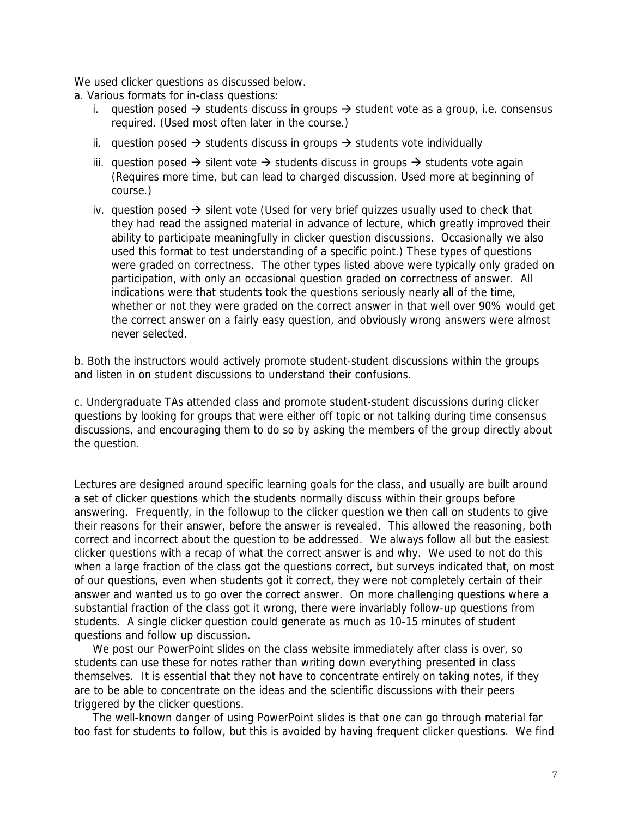We used clicker questions as discussed below.

a. Various formats for in-class questions:

- i. question posed  $\rightarrow$  students discuss in groups  $\rightarrow$  student vote as a group, i.e. consensus required. (Used most often later in the course.)
- ii. question posed  $\rightarrow$  students discuss in groups  $\rightarrow$  students vote individually
- iii. question posed  $\rightarrow$  silent vote  $\rightarrow$  students discuss in groups  $\rightarrow$  students vote again (Requires more time, but can lead to charged discussion. Used more at beginning of course.)
- iv. question posed  $\rightarrow$  silent vote (Used for very brief quizzes usually used to check that they had read the assigned material in advance of lecture, which greatly improved their ability to participate meaningfully in clicker question discussions. Occasionally we also used this format to test understanding of a specific point.) These types of questions were graded on correctness. The other types listed above were typically only graded on participation, with only an occasional question graded on correctness of answer. All indications were that students took the questions seriously nearly all of the time, whether or not they were graded on the correct answer in that well over 90% would get the correct answer on a fairly easy question, and obviously wrong answers were almost never selected.

b. Both the instructors would actively promote student-student discussions within the groups and listen in on student discussions to understand their confusions.

c. Undergraduate TAs attended class and promote student-student discussions during clicker questions by looking for groups that were either off topic or not talking during time consensus discussions, and encouraging them to do so by asking the members of the group directly about the question.

Lectures are designed around specific learning goals for the class, and usually are built around a set of clicker questions which the students normally discuss within their groups before answering. Frequently, in the followup to the clicker question we then call on students to give their reasons for their answer, before the answer is revealed. This allowed the reasoning, both correct and incorrect about the question to be addressed. We always follow all but the easiest clicker questions with a recap of what the correct answer is and why. We used to not do this when a large fraction of the class got the questions correct, but surveys indicated that, on most of our questions, even when students got it correct, they were not completely certain of their answer and wanted us to go over the correct answer. On more challenging questions where a substantial fraction of the class got it wrong, there were invariably follow-up questions from students. A single clicker question could generate as much as 10-15 minutes of student questions and follow up discussion.

 We post our PowerPoint slides on the class website immediately after class is over, so students can use these for notes rather than writing down everything presented in class themselves. It is essential that they not have to concentrate entirely on taking notes, if they are to be able to concentrate on the ideas and the scientific discussions with their peers triggered by the clicker questions.

 The well-known danger of using PowerPoint slides is that one can go through material far too fast for students to follow, but this is avoided by having frequent clicker questions. We find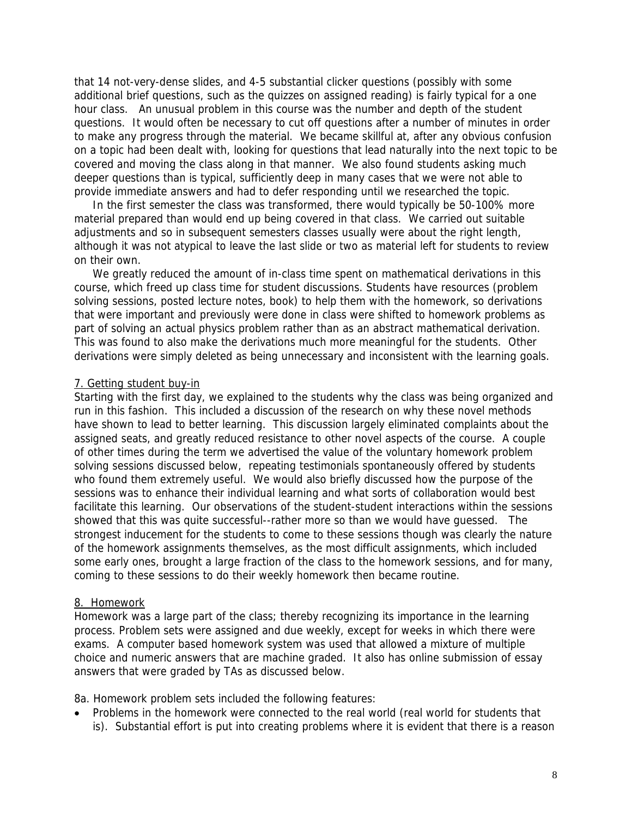that 14 not-very-dense slides, and 4-5 substantial clicker questions (possibly with some additional brief questions, such as the quizzes on assigned reading) is fairly typical for a one hour class. An unusual problem in this course was the number and depth of the student questions. It would often be necessary to cut off questions after a number of minutes in order to make any progress through the material. We became skillful at, after any obvious confusion on a topic had been dealt with, looking for questions that lead naturally into the next topic to be covered and moving the class along in that manner. We also found students asking much deeper questions than is typical, sufficiently deep in many cases that we were not able to provide immediate answers and had to defer responding until we researched the topic.

 In the first semester the class was transformed, there would typically be 50-100% more material prepared than would end up being covered in that class. We carried out suitable adjustments and so in subsequent semesters classes usually were about the right length, although it was not atypical to leave the last slide or two as material left for students to review on their own.

We greatly reduced the amount of in-class time spent on mathematical derivations in this course, which freed up class time for student discussions. Students have resources (problem solving sessions, posted lecture notes, book) to help them with the homework, so derivations that were important and previously were done in class were shifted to homework problems as part of solving an actual physics problem rather than as an abstract mathematical derivation. This was found to also make the derivations much more meaningful for the students. Other derivations were simply deleted as being unnecessary and inconsistent with the learning goals.

#### 7. Getting student buy-in

Starting with the first day, we explained to the students why the class was being organized and run in this fashion. This included a discussion of the research on why these novel methods have shown to lead to better learning. This discussion largely eliminated complaints about the assigned seats, and greatly reduced resistance to other novel aspects of the course. A couple of other times during the term we advertised the value of the voluntary homework problem solving sessions discussed below, repeating testimonials spontaneously offered by students who found them extremely useful. We would also briefly discussed how the purpose of the sessions was to enhance their individual learning and what sorts of collaboration would best facilitate this learning. Our observations of the student-student interactions within the sessions showed that this was quite successful--rather more so than we would have guessed. The strongest inducement for the students to come to these sessions though was clearly the nature of the homework assignments themselves, as the most difficult assignments, which included some early ones, brought a large fraction of the class to the homework sessions, and for many, coming to these sessions to do their weekly homework then became routine.

#### 8. Homework

Homework was a large part of the class; thereby recognizing its importance in the learning process. Problem sets were assigned and due weekly, except for weeks in which there were exams. A computer based homework system was used that allowed a mixture of multiple choice and numeric answers that are machine graded. It also has online submission of essay answers that were graded by TAs as discussed below.

8a. Homework problem sets included the following features:

• Problems in the homework were connected to the real world (real world for students that is). Substantial effort is put into creating problems where it is evident that there is a reason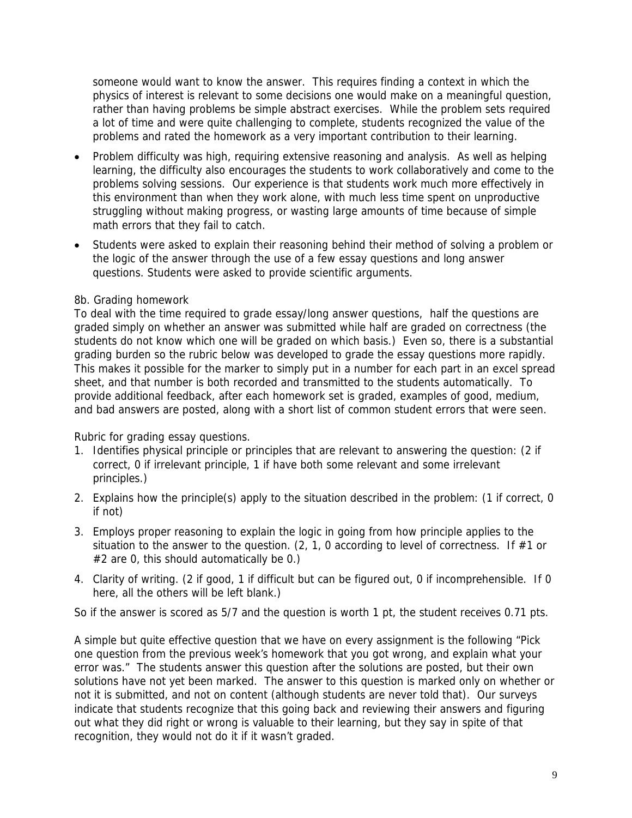someone would want to know the answer. This requires finding a context in which the physics of interest is relevant to some decisions one would make on a meaningful question, rather than having problems be simple abstract exercises. While the problem sets required a lot of time and were quite challenging to complete, students recognized the value of the problems and rated the homework as a very important contribution to their learning.

- Problem difficulty was high, requiring extensive reasoning and analysis. As well as helping learning, the difficulty also encourages the students to work collaboratively and come to the problems solving sessions. Our experience is that students work much more effectively in this environment than when they work alone, with much less time spent on unproductive struggling without making progress, or wasting large amounts of time because of simple math errors that they fail to catch.
- Students were asked to explain their reasoning behind their method of solving a problem or the logic of the answer through the use of a few essay questions and long answer questions. Students were asked to provide scientific arguments.

# 8b. Grading homework

To deal with the time required to grade essay/long answer questions, half the questions are graded simply on whether an answer was submitted while half are graded on correctness (the students do not know which one will be graded on which basis.) Even so, there is a substantial grading burden so the rubric below was developed to grade the essay questions more rapidly. This makes it possible for the marker to simply put in a number for each part in an excel spread sheet, and that number is both recorded and transmitted to the students automatically. To provide additional feedback, after each homework set is graded, examples of good, medium, and bad answers are posted, along with a short list of common student errors that were seen.

Rubric for grading essay questions.

- 1. Identifies physical principle or principles that are relevant to answering the question: (2 if correct, 0 if irrelevant principle, 1 if have both some relevant and some irrelevant principles.)
- 2. Explains how the principle(s) apply to the situation described in the problem: (1 if correct, 0 if not)
- 3. Employs proper reasoning to explain the logic in going from how principle applies to the situation to the answer to the question. (2, 1, 0 according to level of correctness. If  $#1$  or #2 are 0, this should automatically be 0.)
- 4. Clarity of writing. (2 if good, 1 if difficult but can be figured out, 0 if incomprehensible. If 0 here, all the others will be left blank.)

So if the answer is scored as 5/7 and the question is worth 1 pt, the student receives 0.71 pts.

A simple but quite effective question that we have on every assignment is the following "Pick one question from the previous week's homework that you got wrong, and explain what your error was." The students answer this question after the solutions are posted, but their own solutions have not yet been marked. The answer to this question is marked only on whether or not it is submitted, and not on content (although students are never told that). Our surveys indicate that students recognize that this going back and reviewing their answers and figuring out what they did right or wrong is valuable to their learning, but they say in spite of that recognition, they would not do it if it wasn't graded.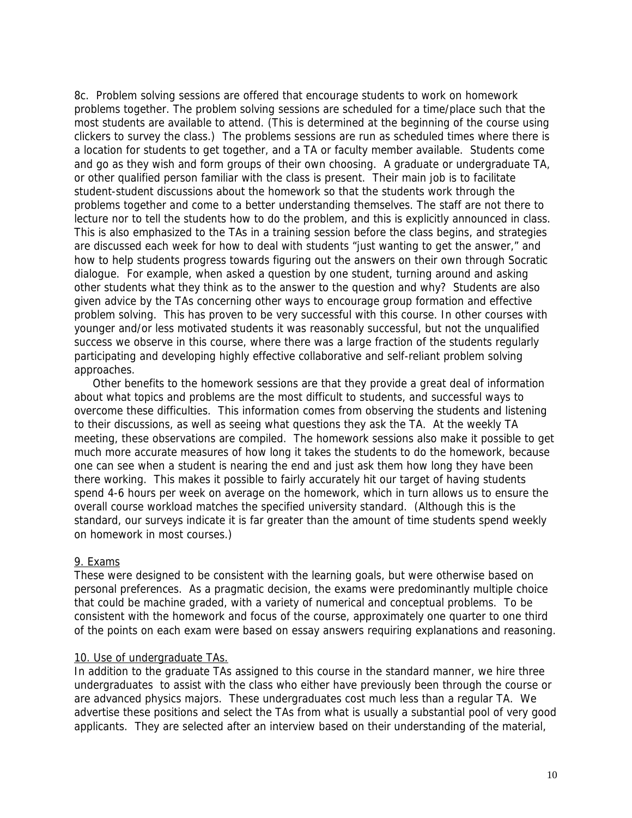8c. Problem solving sessions are offered that encourage students to work on homework problems together. The problem solving sessions are scheduled for a time/place such that the most students are available to attend. (This is determined at the beginning of the course using clickers to survey the class.) The problems sessions are run as scheduled times where there is a location for students to get together, and a TA or faculty member available. Students come and go as they wish and form groups of their own choosing. A graduate or undergraduate TA, or other qualified person familiar with the class is present. Their main job is to facilitate student-student discussions about the homework so that the students work through the problems together and come to a better understanding themselves. The staff are not there to lecture nor to tell the students how to do the problem, and this is explicitly announced in class. This is also emphasized to the TAs in a training session before the class begins, and strategies are discussed each week for how to deal with students "just wanting to get the answer," and how to help students progress towards figuring out the answers on their own through Socratic dialogue. For example, when asked a question by one student, turning around and asking other students what they think as to the answer to the question and why? Students are also given advice by the TAs concerning other ways to encourage group formation and effective problem solving. This has proven to be very successful with this course. In other courses with younger and/or less motivated students it was reasonably successful, but not the unqualified success we observe in this course, where there was a large fraction of the students regularly participating and developing highly effective collaborative and self-reliant problem solving approaches.

Other benefits to the homework sessions are that they provide a great deal of information about what topics and problems are the most difficult to students, and successful ways to overcome these difficulties. This information comes from observing the students and listening to their discussions, as well as seeing what questions they ask the TA. At the weekly TA meeting, these observations are compiled. The homework sessions also make it possible to get much more accurate measures of how long it takes the students to do the homework, because one can see when a student is nearing the end and just ask them how long they have been there working. This makes it possible to fairly accurately hit our target of having students spend 4-6 hours per week on average on the homework, which in turn allows us to ensure the overall course workload matches the specified university standard. (Although this is the standard, our surveys indicate it is far greater than the amount of time students spend weekly on homework in most courses.)

## 9. Exams

These were designed to be consistent with the learning goals, but were otherwise based on personal preferences. As a pragmatic decision, the exams were predominantly multiple choice that could be machine graded, with a variety of numerical and conceptual problems. To be consistent with the homework and focus of the course, approximately one quarter to one third of the points on each exam were based on essay answers requiring explanations and reasoning.

## 10. Use of undergraduate TAs.

In addition to the graduate TAs assigned to this course in the standard manner, we hire three undergraduates to assist with the class who either have previously been through the course or are advanced physics majors. These undergraduates cost much less than a regular TA. We advertise these positions and select the TAs from what is usually a substantial pool of very good applicants. They are selected after an interview based on their understanding of the material,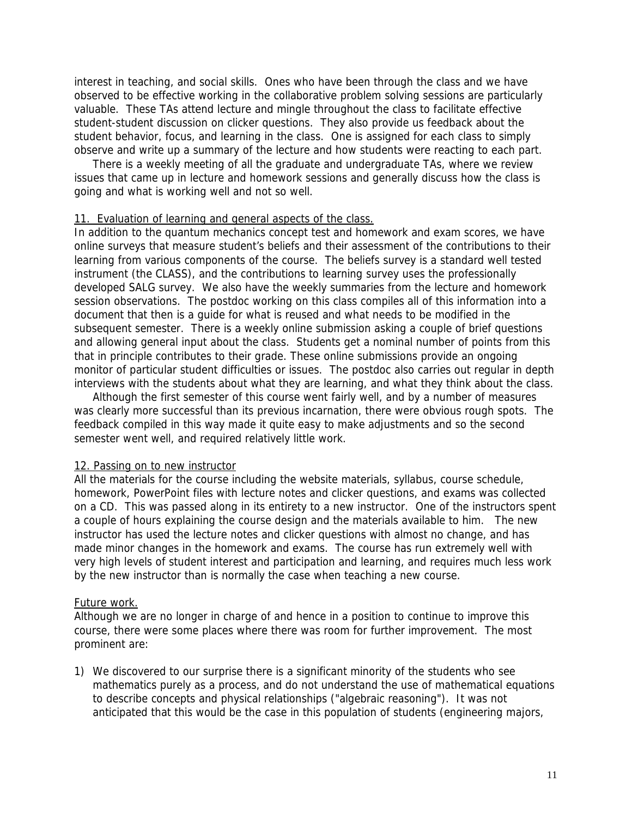interest in teaching, and social skills. Ones who have been through the class and we have observed to be effective working in the collaborative problem solving sessions are particularly valuable. These TAs attend lecture and mingle throughout the class to facilitate effective student-student discussion on clicker questions. They also provide us feedback about the student behavior, focus, and learning in the class. One is assigned for each class to simply observe and write up a summary of the lecture and how students were reacting to each part.

 There is a weekly meeting of all the graduate and undergraduate TAs, where we review issues that came up in lecture and homework sessions and generally discuss how the class is going and what is working well and not so well.

#### 11. Evaluation of learning and general aspects of the class.

In addition to the quantum mechanics concept test and homework and exam scores, we have online surveys that measure student's beliefs and their assessment of the contributions to their learning from various components of the course. The beliefs survey is a standard well tested instrument (the CLASS), and the contributions to learning survey uses the professionally developed SALG survey. We also have the weekly summaries from the lecture and homework session observations. The postdoc working on this class compiles all of this information into a document that then is a guide for what is reused and what needs to be modified in the subsequent semester. There is a weekly online submission asking a couple of brief questions and allowing general input about the class. Students get a nominal number of points from this that in principle contributes to their grade. These online submissions provide an ongoing monitor of particular student difficulties or issues. The postdoc also carries out regular in depth interviews with the students about what they are learning, and what they think about the class.

 Although the first semester of this course went fairly well, and by a number of measures was clearly more successful than its previous incarnation, there were obvious rough spots. The feedback compiled in this way made it quite easy to make adjustments and so the second semester went well, and required relatively little work.

## 12. Passing on to new instructor

All the materials for the course including the website materials, syllabus, course schedule, homework, PowerPoint files with lecture notes and clicker questions, and exams was collected on a CD. This was passed along in its entirety to a new instructor. One of the instructors spent a couple of hours explaining the course design and the materials available to him. The new instructor has used the lecture notes and clicker questions with almost no change, and has made minor changes in the homework and exams. The course has run extremely well with very high levels of student interest and participation and learning, and requires much less work by the new instructor than is normally the case when teaching a new course.

#### Future work.

Although we are no longer in charge of and hence in a position to continue to improve this course, there were some places where there was room for further improvement. The most prominent are:

1) We discovered to our surprise there is a significant minority of the students who see mathematics purely as a process, and do not understand the use of mathematical equations to describe concepts and physical relationships ("algebraic reasoning"). It was not anticipated that this would be the case in this population of students (engineering majors,